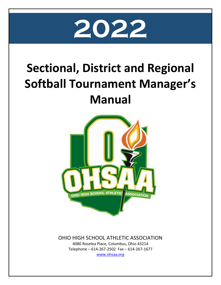

# **Sectional, District and Regional Softball Tournament Manager's Manual**



# OHIO HIGH SCHOOL ATHLETIC ASSOCIATION

4080 Roselea Place, Columbus, Ohio 43214 Telephone – 614-267-2502 Fax – 614-267-1677 [www.ohsaa.org](http://www.ohsaa.org/)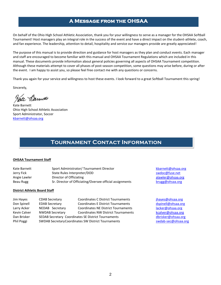### **A Message from the OHSAA**

On behalf of the Ohio High School Athletic Association, thank you for your willingness to serve as a manager for the OHSAA Softball Tournament! Host managers play an integral role in the success of the event and have a direct impact on the student-athlete, coach, and fan experience. The leadership, attention to detail, hospitality and service our managers provide are greatly appreciated!

The purpose of this manual is to provide direction and guidance for host managers as they plan and conduct events. Each manager and staff are encouraged to become familiar with this manual and OHSAA Tournament Regulations which are included in this manual. These documents provide information about general policies governing all aspects of OHSAA Tournament competition. Although these materials attempt to cover all phases of post-season competition, some questions may arise before, during or after the event. I am happy to assist you, so please feel free contact me with any questions or concerns.

Thank you again for your service and willingness to host these events. I look forward to a great Softball Tournament this spring!

Sincerely,

Pate Barnett

Kate Barnett Ohio High School Athletic Association Sport Administrator, Soccer [kbarnett@ohsaa.org](mailto:kbarnett@ohsaa.org)

# **Tournament Contact Information**

#### **OHSAA Tournament Staff**

| Kate Barnett | Sport Administrator/Tournament Director                  |
|--------------|----------------------------------------------------------|
| Jerry Fick   | State Rules Interpreter/DOD                              |
| Angie Lawler | Director of Officiating                                  |
| Beau Rugg    | Sr. Director of Officiating/Oversee official assignments |

#### **District Athletic Board Staff**

| Jim Hayes    | <b>CDAB Secretary</b>  | <b>Coordinates C District Tournaments</b>           |  |  |
|--------------|------------------------|-----------------------------------------------------|--|--|
| Don Spinell  | <b>EDAB Secretary</b>  | <b>Coordinates E District Tournaments</b>           |  |  |
| Larry Acker  | NEDAB Secretary        | <b>Coordinates NE District Tournaments</b>          |  |  |
| Kevin Calver | <b>NWDAB Secretary</b> | <b>Coordinates NW District Tournaments</b>          |  |  |
| Dan Brisker  |                        | SEDAB Secretary Coordinates SE District Tournaments |  |  |
| Phil Poggi   |                        | SWDAB Secretary Coordinates SW District Tournaments |  |  |

[kbarnett@ohsaa.org](mailto:kbarnett@ohsaa.org) swdoc@fuse.net [alawler@ohsaa.org](mailto:alawler@ohsaa.org) [brugg@ohsaa.org](mailto:brugg@ohsaa.org)

[jhayes@ohsaa.org](mailto:jhayes@ohsaa.org) [dspinell@ohsaa.org](mailto:dspinell@ohsaa.org) [lacker@ohsaa.org](mailto:lacker@ohsaa.org) [kcalver@ohsaa.org](mailto:kcalver@ohsaa.org) [dbrisker@ohsaa.org](mailto:dbrisker@ohsaa.org) [swdab-sec@ohsaa.org](mailto:swdab-sec@ohsaa.org)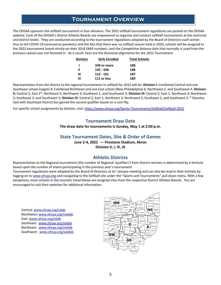# **Tournament Overview**

The OHSAA sponsors the softball tournament in four divisions. The 2022 softball tournament regulations are posted on the OHSAA website. Each of the OHSAA's District Athletic Boards are empowered to organize and conduct softball tournaments at the sectional and district levels. They are conducted according to the tournament regulations adopted by the Board of Directors each winter. Due to the COVID-19 coronavirus pandemic and the fact that there was no softball season held in 2020, schools will be assigned to the 2022 tournament based strictly on their 2018 EMIS numbers, and the Competitive Balance data that normally is used from the previous season was not factored in. As a result, here are the divisional alignments for the 2022 Tournament.

| <b>Division</b> | <b>Girls Enrolled</b> | <b>Total Schools</b> |
|-----------------|-----------------------|----------------------|
|                 | 339 or more           | 188                  |
| Ш               | 192 - 338             | 188                  |
| Ш               | 112 - 191             | 187                  |
| IV              | 111 or less           | 189                  |

Representation from the district to the regional tournaments in softball for 2022 will be: **Division I:** Combined Central and one Southeast school (Logan) 4; Combined Northeast and one East school (New Philadelphia) 6; Northwest 2, and Southwest 4; **Division II:**Central 2; East 2\*; Northeast 5; Northwest 3; Southeast 1, and Southwest 3; **Division III:** Central 2; East 1; Northeast 4; Northwest 3; Southeast 3, and Southwest 3; **Division IV:** Central 2; East 1; Northeast 3; Northwest 5; Southeast 2, and Southwest 3. \* Denotes tied with Southeast District but gained the second qualifier based on a coin flip.

For specific school assignments by division, visit[: https://www.ohsaa.org/Sports-Tournaments/Softball/Softball-2022](https://www.ohsaa.org/Sports-Tournaments/Softball/Softball-2021)

#### **Tournament Draw Date**

**The draw date for tournaments is Sunday, May 1 at 2:00 p.m.**

#### **State Tournament Dates, Site & Order of Games**

**June 2-4, 2022 — Firestone Stadium, Akron**

**Division II, I, IV, III**

#### **Athletic Districts**

Representation to the Regional tournament (the number of Regional 'qualifiers') from District winners is determined by a formula based upon the number of teams participating in the previous year's tournament.

Tournament regulations were adopted by the Board of Directors at its' January meeting and can also be read in their entirety by logging on to [www.ohsaa.org](http://www.ohsaa.org/) and navigating to the Softball site under the "Sports and Tournaments" pull down menu. With a few exceptions, most schools in the counties listed below are assigned sites from the respective District Athletic Boards. You are encouraged to visit their websites for additional information.

Central[: www.ohsaa.org/cdab](http://www.ohsaa.org/cdab) Northwest: [www.ohsaa.org/nwdab](http://www.ohsaa.org/nwdab) East: [www.ohsaa.org/edab](http://www.ohsaa.org/edab) Southeast: [www.ohsaa.org/sedab](http://www.ohsaa.org/sedab) Northeast: [www.ohsaa.org/nedab](http://www.ohsaa.org/nedab) Southwest: [www.ohsaa.org/swdab](http://www.ohsaa.org/swdab)

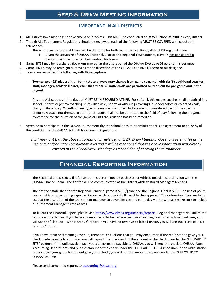# **Seed & Draw Meeting Information**

#### **IMPORTANT IN ALL DISTRICTS**

- 1. All Districts have meetings for placement on brackets. This MUST be conducted on **May 1, 2022, at 2:00** in every district
- 2. Though ALL Tournament Regulations should be reviewed, each of the following MUST BE COVERED with coaches in attendance:

There is no guarantee that travel will be the same for both teams to a sectional, district OR regional game

- o Given the structure of OHSAA Sectional/District and Regional Tournaments, travel is not considered a competitive advantage or disadvantage for teams.
- 3. Game SITES may be reassigned (locations moved) at the discretion of the OHSAA Executive Director or his designee
- 4. Game TIMES may be reassigned (moved) at the discretion of the OHSAA Executive Director or his designee
- 5. Teams are permitted the following with NO exceptions:
	- **Twenty-two (22) players in uniform (these players may change from game to game) with six (6) additional coaches, staff, manager, athletic trainer, etc. ONLY those 28 individuals are permitted on the field for pre-game and in the dugout.**
	- Any and ALL coaches in the dugout MUST BE IN REQUIRED ATTIRE. For softball, this means coaches shall be attired in a school uniform or jersey/coaching shirt with slacks, shorts or other leg coverings in school colors or colors of khaki, black, white or gray. Cut-offs or any type of jeans are prohibited. Jackets are not considered part of the coach's uniform. A coach not dressed in appropriate attire shall not be permitted in the field of play following the pregame conference for the duration of the game or until the situation has been remedied.
- 6. Agreeing to participate in the OHSAA Tournament (by the school's athletic administrator) is an agreement to abide by all the conditions of the OHSAA Softball Tournament Regulations

*It is important that the above information is reviewed at EACH Draw Meeting. Questions often arise at the Regional and/or State Tournament level and it will be mentioned that the above information was already covered at their Seed/Draw Meetings as a condition of entering the tournament.*

### **Financial Reporting Information**

The Sectional and Districts flat fee amount is determined by each District Athletic Board in coordination with the OHSAA Finance Team. The flat fee will be communicated at the District Athletic Board Managers Meeting.

The flat fee established for the Regional Semifinal game is \$750/game and the Regional Final is \$850. The use of police personnel is an extenuating expense. Please reach out to Kate Barnett for fee approval. The determined fees are to be used at the discretion of the tournament manager to cover site use and game day workers. Please make sure to include a Tournament Manager's rate as well.

To fill out the Financial Report, please visit [https://www.ohsaa.org/financial/reports.](https://www.ohsaa.org/financial/reports) Regional managers will utilize the reports with a flat fee. If you have any revenue collected on site, such as streaming fees or radio broadcast fees, you will use the "Flat Fee – With Revenue" report. If you have no revenue collected onsite, you will use the "Flat Fee – No Revenue" report

If you have radio or streaming revenue, there are 3 situations that you may encounter. If the radio station gave you a check made payable to your site, you will deposit the check and fill the amount of the check in under the "FEE PAID TO SITE" column. If the radio station gave you a check made payable to OHSAA, you will send the check to OHSAA (Attn: Accounting Department) and put the amount of the check under the "FEE PAID TO OHSAA" column. If the radio station broadcasted your game but did not give you a check, you will put the amount they owe under the "FEE OWED TO OHSAA" column.

Please send completed reports to [accounting@ohsaa.org.](mailto:accounting@ohsaa.org)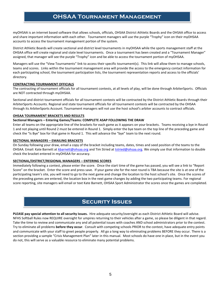# **OHSAA Tournament Management**

myOHSAA is an internet based software that allows schools, officials, OHSAA District Athletic Boards and the OHSAA office to access and share important information with each other. Tournament managers will use the purple "Trophy" icon on their myOHSAA accounts to access the tournament management portion of the system.

District Athletic Boards will create sectional and district level tournaments in myOHSAA while the sports management staff at the OHSAA office will create regional and state level tournaments. Once a tournament has been created and a "Tournament Manager" assigned, that manager will see the purple "Trophy" icon and be able to access the tournament portion of myOHSAA.

Managers will use the "View Tournaments" link to access their specific tournament(s). This link will allow them to manage schools, teams and scores. Links within the tournament management area will provide the access to the emergency contact information for each participating school, the tournament participation lists, the tournament representation reports and access to the officials' directory.

#### **CONTRACTING TOURNAMENT OFFICIALS**

The contracting of tournament officials for all tournament contests, at all levels of play, will be done through ArbiterSports. Officials are NOT contracted through myOHSAA.

Sectional and district tournament officials for all tournament contests will be contracted by the District Athletic Boards through their ArbiterSports Accounts. Regional and state tournament officials for all tournament contests will be contracted by the OHSAA through its ArbiterSports Account. Tournament managers will not use the host school's arbiter accounts to contract officials.

#### **OHSAA TOURNAMENT BRACKETS AND RESULTS**

#### **Sectional Managers – Entering Games/Teams: COMPLETE ASAP FOLLOWING THE DRAW**

Enter all teams on the appropriate line of the brackets for each game as it appears on your brackets. Teams receiving a bye in Round 1 and not playing until Round 2 must be entered in Round 1. Simply enter the bye team on the top line of the preceding game and check the "Is Bye" box for that game in Round 1. This will advance the "bye" team to the next round.

#### **SECTIONAL MANAGERS – EMAILING BRACKETS**

On Sunday following your draw, email a copy of the bracket including teams, dates, times and seed position of the teams to the OHSAA. Email: Kate Barnett at [kbarnett@ohsaa.org](mailto:kbarnett@ohsaa.org) and Tim Stried a[t tstried@ohsaa.org.](mailto:tstried@ohsaa.org) We simply use that information to double check the bracket entered in myOHSAA for accuracy.

#### **SECTIONAL/DISTRICT/REGIONAL MANAGERS – ENTERING SCORES**

Immediately following a contest, please enter the score. Once the start time of the game has passed, you will see a link to "Report Score" on the bracket. Enter the score and press save. If your game site for the next round is TBA because the site is at one of the participating team's site, you will need to go to the next game and change the location to the host school's site. Once the scores of the preceding games are entered, the location box in the next game changes by adding the two participating teams. For regional score reporting, site managers will email or text Kate Barnett, OHSAA Sport Administrator the scores once the games are completed.

# **Security Issues**

**PLEASE pay special attention to all security issues.** Hire adequate security/oversight as each District Athletic Board will advise. NFHS Softball Rules now REQUIRE oversight for umpires returning to their vehicles after a game, so please be diligent in that regard. Take the time to review and communicate any and all potential issues with coaches AND school administrators prior to the contest. Try to eliminate all problems **before they occur**. Consult with competing schools PRIOR to the contest, have adequate entry points and communicate with your staff to greet people properly. All go a long way to eliminating problems BEFORE they occur. There is a section providing a sample "Crisis Management Plan" later in this manual. Most schools do have one in place, but in the event you do not, this will serve as a valuable resource to eliminate many potential problems.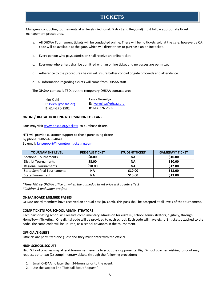# **Tickets**

Managers conducting tournaments at all levels (Sectional, District and Regional) must follow appropriate ticket management procedures.

- a. All OHSAA Tournament tickets will be conducted online. There will be no tickets sold at the gate; however, a QR code will be available at the gate, which will direct them to purchase an online ticket.
- b. Every person who pays admission shall receive an online ticket.
- c. Everyone who enters shall be admitted with an online ticket and no passes are permitted.
- d. Adherence to the procedures below will insure better control of gate proceeds and attendance.
- e. All information regarding tickets will come from OHSAA staff.

The OHSAA contact is TBD, but the temporary OHSAA contacts are:

| Kim Kiehl               | Laura Vermilya          |
|-------------------------|-------------------------|
| $E:$ kkiehl@ohsaa.org   | E: Ivermilya@ohsaa.org  |
| <b>B</b> : 614-276-2502 | <b>B</b> : 614-276-2502 |

#### **ONLINE/DIGITAL TICKETING NFORMATION FOR FANS**

Fans may visit [www.ohsaa.org/tickets](http://www.ohsaa.org/tickets) to purchase tickets.

HTT will provide customer support to those purchasing tickets. By phone: 1-866-488-4849 By email[: fansupport@hometownticketing.com](mailto:fansupport@hometownticketing.com)

| <b>TOURNAMENT LEVEL</b>            | <b>PRE-SALE TICKET</b> | <b>STUDENT TICKET</b> | <b>GAMEDAY* TICKET</b> |
|------------------------------------|------------------------|-----------------------|------------------------|
| Sectional Tournaments              | \$8.00                 | ΝA                    | \$10.00                |
| <b>District Tournaments</b>        | \$8.00                 | <b>NA</b>             | \$10.00                |
| <b>Regional Tournaments</b>        | \$10.00                | <b>NA</b>             | \$12.00                |
| <b>State Semifinal Tournaments</b> | <b>NA</b>              | \$10.00               | \$13.00                |
| <b>State Tournament</b>            | <b>NA</b>              | \$10.00               | \$13.00                |

*\*Time TBD by OHSAA office on when the gameday ticket price will go into effect \*Children 5 and under are free*

#### **OHSAA BOARD MEMBER PASSES**

OHSAA Board members have received an annual pass (ID Card). This pass shall be accepted at all levels of the tournament.

#### **COMP TICKETS FOR SCHOOL ADMINISTRATORS**

Each participating school will receive complimentary admission for eight (8) school administrators, digitally, through HomeTown Ticketing. One digital code will be provided to each school. Each code will have eight (8) tickets attached to the code. The same code will be utilized, as a school advances in the tournament.

#### **OFFICIAL'S GUEST**

Officials are permitted one guest and they must enter with the official.

#### **HIGH SCHOOL SCOUTS**

High School coaches may attend tournament events to scout their opponents. High School coaches wishing to scout may request up to two (2) complimentary tickets through the following procedure:

- 1. Email OHSAA no later than 24-hours prior to the event;
- 2. Use the subject line "Softball Scout Request"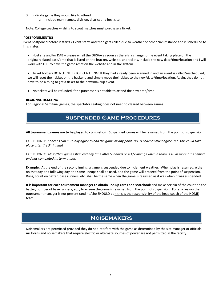- 3. Indicate game they would like to attend
	- a. Include team names, division, district and host site

Note: College coaches wishing to scout matches must purchase a ticket.

#### **POSTPONEMENT(S)**

Event postponed before it starts / Event starts and then gets called due to weather or other circumstance and is scheduled to finish later:

• Host site and/or DAB – please email the OHSAA as soon as there is a change to the event taking place on the originally slated date/time that is listed on the bracket, website, and tickets. Include the new date/time/location and I will work with HTT to have the game reset on the website and in the system.

• Ticket holders DO NOT NEED TO DO A THING! If they had already been scanned in and an event is called/rescheduled, we will reset their ticket on the backend and simply move their ticket to the new/date/time/location. Again, they do not have to do a thing to get a ticket to the new/makeup event.

• No tickets will be refunded if the purchaser is not able to attend the new date/time.

#### **REGIONAL TICKETING**

For Regional Semifinal games, the spectator seating does not need to cleared between games.

# **Suspended Game Procedures**

**All tournament games are to be played to completion**. Suspended games will be resumed from the point of suspension.

EXCEPTION 1: *Coaches can mutually agree to end the game at any point. BOTH coaches must agree. (i.e. this could take place after the 3rd inning)*

EXCEPTION 2: *All softball games shall end any time after 5 innings or 4 1/2 innings when a team is 10 or more runs behind and has completed its term at bat.*

**Example:** At the end of the second inning, a game is suspended due to inclement weather. When play is resumed, either on that day or a following day, the same lineups shall be used, and the game will proceed from the point of suspension. Runs, count on batter, base runners, etc. shall be the same when the game is resumed as it was when it was suspended.

**It is important for each tournament manager to obtain line-up cards and scorebook** and make certain of the count on the batter, number of base runners, etc., to ensure the game is resumed from the point of suspension. For any reason the tournament manager is not present (and he/she SHOULD be), this is the responsibility of the head coach of the HOME team.

# **Noisemakers**

Noisemakers are permitted provided they do not interfere with the game as determined by the site manager or officials. Air Horns and noisemakers that require electric or alternate sources of power are not permitted in the facility.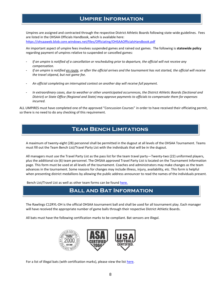# **Umpire Information**

Umpires are assigned and contracted through the respective District Athletic Boards following state-wide guidelines. Fees are listed in the OHSAA Officials Handbook, which is available here: <https://ohsaaweb.blob.core.windows.net/files/Officiating/OHSAAOfficialsHandbook.pdf>

An important aspect of umpire fees involves suspended games and rained out games. The following is **statewide policy**  regarding payment of umpires relative to suspended or cancelled games:

- *If an umpire is notified of a cancellation or rescheduling prior to departure, the official will not receive any compensation.*
- *If an umpire is notified en route, or after the official arrives and the tournament has not started, the official will receive the travel stipend, but not game fee.*
- *An official completing an interrupted contest on another day will receive full payment.*
- *In extraordinary cases, due to weather or other unanticipated occurrences, the District Athletic Boards (Sectional and District) or State Office (Regional and State) may approve payments to officials to compensate them for expenses incurred.*

ALL UMPIRES must have completed one of the approved "Concussion Courses" in order to have received their officiating permit, so there is no need to do any checking of this requirement.

# **Team Bench Limitations**

A maximum of twenty-eight (28) personnel shall be permitted in the dugout at all levels of the OHSAA Tournament. Teams must fill out the Team Bench List/Travel Party List with the individuals that will be in the dugout.

All managers must use the Travel Party List as the pass list for the team travel party—Twenty-two (22) uniformed players, plus the additional six (6) team personnel. The OHSAA approved Travel Party List is located on the Tournament Information page. This form must be used at all levels of the tournament. Coaches and administrators may make changes as the team advances in the tournament. Some reasons for changes may include illness, injury, availability, etc. This form is helpful when presenting district medallions by allowing the public address announcer to read the names of the individuals present.

Bench List/Travel List as well as other team forms can be foun[d here.](https://www.ohsaa.org/sports/softball/tournament-info)

# **Ball and Bat Information**

The Rawlings C12RYL-OH is the official OHSAA tournament ball and shall be used for all tournament play. Each manager will have received the appropriate number of game balls through their respective District Athletic Boards.

All bats must have the following certification marks to be compliant. Bat sensors are illegal.



For a list of illegal bats (with certification marks), please view the list [here.](https://usa.asasoftball.com/e/BB1P2000.asp)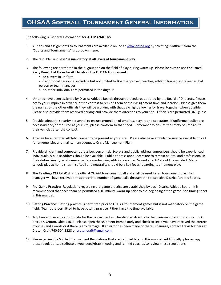# **OHSAA Softball Tournament General Information**

The following is 'General Information' for **ALL MANAGERS**

- 1. All sites and assignments to tournaments are available online at [www.ohsaa.org](http://www.ohsaa.org/) by selecting "Softball" from the "Sports and Tournaments" drop-down menu.
- 2. The "Double First Base" is **mandatory at all levels of tournament play**.
- 3. The following are permitted in the dugout and on the field of play during warm-up. **Please be sure to use the Travel Party Bench List Form for ALL levels of the OHSAA Tournament.** 
	- 22 players in uniform
	- 6 additional personnel including but not limited to Board-approved coaches, athletic trainer, scorekeeper, bat person or team manager
	- No other individuals are permitted in the dugout
- 4. Umpires have been assigned by District Athletic Boards through procedures adopted by the Board of Directors. Please notify your umpires in advance of the contest to remind them of their assignment time and location. Please give them the names of the other officials they will be working with that day/night allowing for travel together when possible. Please also provide them reserved parking and provide them directions to your site. Officials are permitted ONE guest.
- 5. Provide adequate security personnel to ensure protection of umpires, players and spectators. If uniformed police are necessary and/or required at your site, please conform to that need. Remember to ensure the safety of umpires to their vehicles after the contest.
- 6. Arrange for a Certified Athletic Trainer to be present at your site. Please also have ambulance service available on call for emergencies and maintain an adequate Crisis Management Plan.
- 7. Provide efficient and competent press box personnel. Scorers and public address announcers should be experienced individuals. A public address should be available. Public address announcers are to remain neutral and professional in their duties. Any type of game experience enhancing additions such as "sound effects" should be avoided. Many schools play at home sites in softball and neutrality should be a key focus regarding tournament play.
- 8. The **Rawlings C12RYL-OH** is the official OHSAA tournament ball and shall be used for all tournament play. Each manager will have received the appropriate number of game balls through their respective District Athletic Boards.
- 9. **Pre-Game Practice:** Regulations regarding pre-game practice are established by each District Athletic Board. It is recommended that each team be permitted a 10-minute warm-up prior to the beginning of the game. See timing sheet in this manual.
- 10. **Batting Practice**: Batting practice **is** permitted prior to OHSAA tournament games but is not mandatory on the game field. Teams are permitted to have batting practice IF they have the time available.
- 11. Trophies and awards appropriate for the tournament will be shipped directly to the managers from Croton Craft, P.O. Box 257, Croton, Ohio 41013. Please open the shipment immediately and check to see if you have received the correct trophies and awards or if there is any damage. If an error has been made or there is damage, contact Travis Nethers at Croton Craft 740-504-3228 or crotoncraft@gmail.com.
- 12. Please review the Softball Tournament Regulations that are included later in this manual. Additionally, please copy these regulations, distribute at your seed/draw meeting and remind coaches to review these regulations.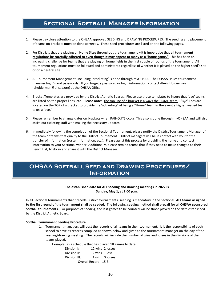### **Sectional Softball Manager Information**

- 1. Please pay close attention to the OHSAA approved SEEDING and DRAWING PROCEDURES. The seeding and placement of teams on brackets **must** be done correctly. These seed procedures are listed on the following pages.
- 2. For Districts that are playing on **Home Sites** throughout the tournament it is imperative that **all tournament regulations be carefully adhered to even though it may appear to many as a "home game."** This has been an increasing challenge for teams that are playing on home fields in the first couple of rounds of the tournament. All tournament regulations must be followed and administered regardless of whether it is played on the higher seed's site or on a neutral site.
- 3. All Tournament Management, including 'bracketing' is done through myOHSAA. The OHSAA issues tournament manager login's and passwords. If you forget a password or login information, contact Alexis Holderman (aholderman@ohsaa.org) at the OHSAA Office.
- 4. Bracket Templates are provided by the District Athletic Boards. Please use those templates to insure that 'bye' teams are listed on the proper lines, etc. **Please note**: The top line of a bracket is always the HOME team. 'Bye' lines are located on the TOP of a bracket to provide the 'advantage' of being a "Home" team in the event a higher seeded team takes a 'bye.'
- 5. Please remember to change dates on brackets when RAINOUTS occur. This also is done through myOHSAA and will also assist our ticketing staff with making the necessary updates.
- 6. Immediately following the completion of the Sectional Tournament, please notify the District Tournament Manager of the team or teams that qualify to the District Tournament. District managers will be in contact with you for the transfer of information (roster information, etc.). Please assist this process by providing the name and contact information to your Sectional winner. Additionally, please remind teams that if they need to make changed to their Bench List, to do so and share it with the District Manager.

# **OHSAA Softball Seed and Drawing Procedures/ Information**

#### **The established date for ALL seeding and drawing meetings in 2022 is Sunday, May 1, at 2:00 p.m.**

In all Sectional tournaments that precede District tournaments, seeding is mandatory in the Sectional. **ALL teams assigned to the first round of the tournament shall be seeded.** The following seeding method **shall prevail for all OHSAA sponsored Softball tournaments.** For purposes of seeding, the last games to be counted will be those played on the date established by the District Athletic Board.

#### **Softball Tournament Seeding Procedure**

1. Tournament managers will post the records of all teams in their tournament. It is the responsibility of each school to have its records compiled as shown below and given to the tournament manager on the day of the seeding/drawing meeting. The records will include the number of wins and losses in the divisions of the teams played.

Example: in a schedule that has played 18 games to date:

| Division I:   |                      | 12 wins 2 losses |
|---------------|----------------------|------------------|
| Division II:  | 2 wins 1 loss        |                  |
| Division III: |                      | 1 win 0 losses   |
|               | Overall Record: 15-3 |                  |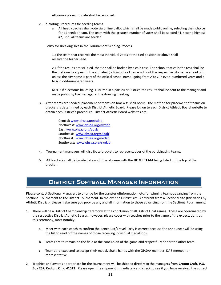All games played to date shall be recorded.

- 2. b. Voting Procedures for seeding teams
	- a. All head coaches shall vote via online ballot which shall be made public online, selecting their choice for #1 seeded team. The team with the greatest number of votes shall be seeded #1, second highest #2, until all teams are seeded.

Policy for Breaking Ties in the Tournament Seeding Process

1.) The team that receives the most individual votes at the tied position or above shall receive the higher seed.

2.) If the results are still tied, the tie shall be broken by a coin toss. The school that calls the toss shall be the first one to appear in the alphabet (official school name without the respective city name ahead of it unless the city name is part of the official school name),going from A to Z in even-numbered years and Z to A in odd-numbered years.

NOTE: If electronic balloting is utilized in a particular District, the results shall be sent to the manager and made public by the manager at the drawing meeting.

3. After teams are seeded, placement of teams on brackets shall occur. The method for placement of teams on brackets is determined by each District Athletic Board. Please log on to each District Athletic Board website to obtain each District's procedure. District Athletic Board websites are:

> Central[: www.ohsaa.org/cdab](http://www.ohsaa.org/cdab) Northwest: [www.ohsaa.org/nwdab](http://www.ohsaa.org/nwdab) East: [www.ohsaa.org/edab](http://www.ohsaa.org/edab) Southeast: [www.ohsaa.org/sedab](http://www.ohsaa.org/sedab) Northeast: [www.ohsaa.org/nedab](http://www.ohsaa.org/nedab) Southwest: [www.ohsaa.org/swdab](http://www.ohsaa.org/swdab)

- 4. Tournament managers will distribute brackets to representatives of the participating teams.
- 5. All brackets shall designate date and time of game with the **HOME TEAM** being listed on the top of the bracket.

### **District Softball Manager Information**

Please contact Sectional Managers to arrange for the transfer ofinformation, etc. for winning teams advancing from the Sectional Tournament to the District Tournament. In the event a District site is different from a Sectional site (this varies by Athletic District), please make sure you provide any and all information to those advancing from the Sectional tournament.

- 1. There will be a District Championship Ceremony at the conclusion of all District Final games. These are coordinated by the respective District Athletic Boards, however, please cover with coaches prior to the game of the expectations at this ceremony, most notably:
	- a. Meet with each coach to confirm the Bench List/Travel Party is correct because the announcer will be using the list to read off the names of those receiving individual medallions.
	- b. Teams are to remain on the field at the conclusion of the game and respectfully honor the other team.
	- c. Teams are expected to accept their medal, shake hands with the OHSAA member, DAB member or representative.
- 2. Trophies and awards appropriate for the tournament will be shipped directly to the managers from **Croton Craft, P.O. Box 257, Croton, Ohio 41013**. Please open the shipment immediately and check to see if you have received the correct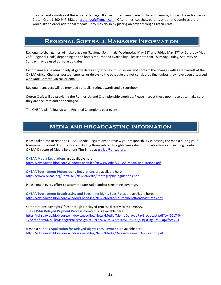trophies and awards or if there is any damage. If an error has been made or there is damage, contact Travis Nethers at Croton Craft 1-800-947-5521 o[r crotoncraft@gmail.com.](mailto:crotoncraft@gmail.com) Oftentimes, coaches, parents or athletic administrators would like to order additional medals. They may do so by placing an order through Crotan Craft.

# **Regional Softball Manager Information**

Regional softball games will take place on (Regional Semifinals) Wednesday May 25<sup>th</sup> and Friday May 27<sup>th</sup> or Saturday May 28<sup>th</sup> (Regional Finals) depending on the host's request and availability. Please note that Thursday, Friday, Saturday or Sunday may be used as make up dates.

Host managers needing to adjust game dates and/or times, must review and confirm the changes with Kate Barnett at the OHSAA office. Changes, postponements, or delays to the schedule are not considered final unless they have been discussed with Kate Barnett (via call or email).

Regional managers will be provided softballs, script, awards and a scorebook.

Croton Craft will be providing the Runner-Up and Championship trophies. Please inspect these upon receipt to make sure they are accurate and not damaged.

The OHSAA will follow up with Regional Champions post event.

### **Media and Broadcasting Information**

Please take time to read the OHSAA Media Regulations to review your responsibility in hosting the media during your tournament contest. For questions including those related to rights fees rates for broadcasting or streaming, contact OHSAA Director of Media Relations Tim Stried a[t tstried@ohsaa.org.](mailto:tstried@ohsaa.org)

**OHSAA Media Regulations** are available here: <https://ohsaaweb.blob.core.windows.net/files/News/Media/OHSAA-Media-Regulations.pdf>

**OHSAA Tournament Photography Regulations** are available here: <https://www.ohsaa.org/Portals/0/News/Media/PhotographyRegulations.pdf>

Please make every effort to accommodate radio and/or streaming coverage.

**OHSAA Tournament Broadcasting and Streaming Rights Fees Rates** are available here: <https://ohsaaweb.blob.core.windows.net/files/News/Media/TournamentBroadcastRates.pdf>

Some stations pay rights' fees through a delayed process directly to the OHSAA. **The OHSAA Delayed Payment Process** memo this is available here: [https://ohsaaweb.blob.core.windows.net/files/News/Media/MemoDelayedPayBroadcast.pdf?sv=2017-04-](https://ohsaaweb.blob.core.windows.net/files/News/Media/MemoDelayedPayBroadcast.pdf?sv=2017-04-17&sr=b&si=DNNFileManagerPolicy&sig=xeG67LezQWUnBYbrd70%2BbSTdZjsDqNGagj0MAQqwfcA%3D) [17&sr=b&si=DNNFileManagerPolicy&sig=xeG67LezQWUnBYbrd70%2BbSTdZjsDqNGagj0MAQqwfcA%3D](https://ohsaaweb.blob.core.windows.net/files/News/Media/MemoDelayedPayBroadcast.pdf?sv=2017-04-17&sr=b&si=DNNFileManagerPolicy&sig=xeG67LezQWUnBYbrd70%2BbSTdZjsDqNGagj0MAQqwfcA%3D)

A media outlet's **Application for Delayed Rights Fees Payment** is available here: <https://ohsaaweb.blob.core.windows.net/files/News/Media/DelayedPaymentApplication.pdf>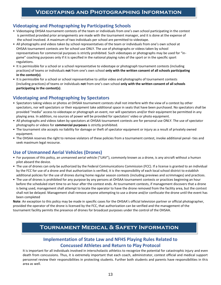### **Videotaping and Photographing by Participating Schools**

- Videotaping OHSAA tournament contests of the team or individuals from one's own school participating in the contest is permitted provided prior arrangements are made with the tournament manager, and it is done at the expense of the school involved. A maximum of two individuals per school are permitted to videotape.
- All photographs and videos taken by school representatives of the team or individuals from one's own school at OHSAA tournament contests are for school use ONLY. The use of photographs or videos taken by school representatives for commercial purposes is strictly prohibited. Such videotapes or photographs may be used for "in game" coaching purposes only if it is specified in the national playing rules of the sport or in the specific sport regulations.
- It is permissible for a school or a school representative to videotape or photograph tournament contests (including practices) of teams or individuals **not** from one's own school **only with the written consent of all schools participating in the contest(s)**.
- It is permissible for a school or school representative to *utilize* video and photographs of tournament contests (including practices) of teams or individuals **not** from one's own school **only with the written consent of all schools participating in the contest(s)**.

### **Videotaping and Photographing by Spectators**

- Spectators taking videos or photos at OHSAA tournament contests shall not interfere with the view of a contest by other spectators, nor will spectators or their equipment take additional space in seats that have been purchased. No spectators shall be provided "media" access to videotape or photograph an event, nor will spectators and/or their equipment be permitted in any playing area. In addition, no sources of power will be provided for spectators' video or photo equipment.
- All photographs and videos taken by spectators at OHSAA tournament contests are for personal use ONLY. The use of spectator photographs or videos for **commercial purposes** is strictly prohibited.
- The tournament site accepts no liability for damage or theft of spectator equipment or injury as a result of privately owned equipment.
- The OHSAA reserves the right to remove violators of these policies from a tournament contest, invoke additional penal- ties and seek maximum legal recourse.

### **Use of Unmanned Aerial Vehicles (Drones)**

- For purposes of this policy, an unmanned aerial vehicle ("UAV"), commonly known as a drone, is any aircraft without a human pilot aboard the device.
- The use of drones can only be authorized by the Federal Communications Commission (FCC). If a license is granted to an individual by the FCC for use of a drone and that authorization is verified, it is the responsibility of each local school district to establish additional policies for the use of drones during home regular season contests (including previews and scrimmages) and practices.
- The use of drones is prohibited for any purpose by any persons at OHSAA tournament contests or practices beginning an hour before the scheduled start time to an hour after the contest ends. At tournament contests, if management discovers that a drone is being used, management shall attempt to locate the operator to have the drone removed from the facility area, but the contest shall not be delayed. Management shall remove anyone attempting to use a drone and/or confiscate the drone until the event has been completed

**Note**: An exception to this policy may be made in specific cases for the OHSAA's official television partner or official photographer, provided the operator of the drone is licensed by the FCC, that authorization can be verified and the management of the tournament facility permits the presence of drones for broadcast purposes under the control of the OHSAA.

# **Tournament Medical & Safety Information**

### **Implementation of State Law and NFHS Playing Rules Related to Concussed Athletes and Return to Play Protocol**

It is important for all individuals involved in interscholastic athletics to recognize the potential for catastrophic injury and even death from concussions. Thus, it is extremely important that each coach, administrator, contest official and medical support personnel review their responsibilities in protecting students. Further both students and parents have responsibilities in this area as well.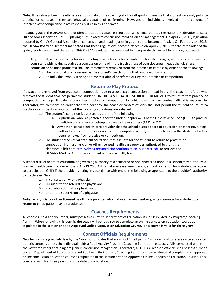**Note:** It has always been the ultimate responsibility of the coaching staff, in all sports, to ensure that students are only put into practice or contests if they are physically capable of performing. However, all individuals involved in the conduct of interscholastic competition have responsibilities in this endeavor.

In January 2011, the OHSAA Board of Directors adopted a sports regulation which incorporated the National Federation of State High School Associations (NFHS) playing rules related to concussion recognition and management. On April 26, 2013, legislation adopted by Ohio's General Assembly on concussion and head injuries in youth sports became effective. On February 14, 2013, the OHSAA Board of Directors mandated that these regulations become effective on April 26, 2013, for the remainder of the spring sports season and thereafter. This OHSAA regulation, as amended to incorporate this recent legislation, now reads:

Any student, while practicing for or competing in an interscholastic contest, who exhibits signs, symptoms or behaviors consistent with having sustained a concussion or head injury (such as loss of consciousness, headache, dizziness, confusion or balance problems) shall be immediately removed from the practice or contest by either of the following:

- 1.) The individual who is serving as the student's coach during that practice or competition.
- 2.) An individual who is serving as a contest official or referee during that practice or competition.

#### **Return to Play Protocol**

If a student is removed from practice or competition due to a suspected concussion or head injury, the coach or referee who removes the student shall not permit the student, **ON THE SAME DAY THE STUDENT IS REMOVED**, to return to that practice or competition or to participate in any other practice or competition for which the coach or contest official is responsible. Thereafter, which means no earlier than the next day, the coach or contest officials shall not permit the student to return to practice or competition until both of the following conditions are satisfied:

- 1.) The student's condition is assessed by either of the following:
	- a. A physician, who is a person authorized under Chapter 4731 of the Ohio Revised Code (OCR) to practice medicine and surgery or osteopathic medicine or surgery (M.D. or D.O.)
	- b. Any other licensed health care provider that the school district board of education or other governing authority of a chartered or non-chartered nonpublic school, authorizes to assess the student who has been removed from practice or competition.
- 2.) The student receives **written authorization** that it is safe for the student to return to practice or competition from a physician or other licensed health care provider authorized to grant the clearance. Click here<http://ohsaa.org/medicine/AuthorizationToReenter.pdf>to retrieve the OHSAA's Medical Authorization to Return To Play (RTP) form.

A school district board of education or governing authority of a chartered or non-chartered nonpublic school may authorize a licensed health care provider who is NOT a PHYSICIAN to make an assessment and grant authorization for a student to return to participation ONLY if the provider is acting in accordance with one of the following as applicable to the provider's authority to practice in Ohio:

- 1.) In consultation with a physician;
- 2.) Pursuant to the referral of a physician;
- 3.) In collaboration with a physician, or
- 4.) Under the supervision of a physician.

**Note:** A physician or other licensed health care provider who makes an assessment or grants clearance for a student to return to participation may be a volunteer.

#### **Coaches Requirements**

All coaches, paid and volunteer, must possess a current Department of Education-issued Pupil Activity Program/Coaching Permit. When renewing this permit, the coach will be required to complete an online concussion education course as stipulated in the section entitled **Approved Online Concussion Education Course.** This course is valid for three years.

#### **Contest Officials Requirements**

New legislation signed into law by the Governor provides that no school "shall permit" an individual to referee interscholastic athletic contests unless the individual holds a Pupil Activity Program/Coaching Permit or has successfully completed within the last three years a training program in concussion recognition. Therefore, all OHSAA licensed officials shall possess either a current Department of Education-issued Pupil Activity Program/Coaching Permit or show evidence of completing an approved online concussion education course as stipulated in the section entitled Approved Online Concussion Education Courses. This course is valid for three years from the date of completion.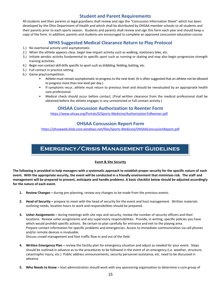### **Student and Parent Requirements**

All students and their parents or legal guardians shall review and sign the "Concussion Information Sheet" which has been developed by the Ohio Department of Health and which shall be distributed by OHSAA member schools to all students and their parents prior to each sports season. Students and parents shall review and sign this form each year and should keep a copy of the form. In addition, parents and students are encouraged to complete an approved concussion education course.

#### **NFHS Suggested Medical Clearance Return to Play Protocol**

- 1.) No exertional activity until asymptomatic.
- 2.) When the athlete appears clear, begin low-impact activity such as walking, stationary bike, etc.
- 3.) Initiate aerobic activity fundamental to specific sport such as running or skating and may also begin progressive strength training activities.
- 4.) Begin non-contact skill drills specific to sport such as dribbling, fielding, batting, etc.
- 5.) Full contact in practice setting.
- 6.) Game play/competition.
	- Athlete must remain asymptomatic to progress to the next level. (It is often suggested that an athlete not be allowed to progress more than one level per day.)
	- If symptoms recur, athlete must return to previous level and should be reevaluated by an appropriate health care professional.
	- Medical check should occur before contact. (Final written clearance from the medical professional shall be obtained before the athlete engages in any unrestricted or full contact activity.)

#### **OHSAA Concussion Authorization to Reenter Form**

<https://www.ohsaa.org/Portals/0/Sports-Medicine/AuthorizationToReenter.pdf>

#### **OHSAA Concussion Report Form**

<https://ohsaaweb.blob.core.windows.net/files/Sports-Medicine/OHSAAConcussionReport.pdf>

# **Emergency/Crisis Management Guidelines**

#### **Event & Site Security**

**The following is provided to help managers with a systematic approach to establish proper security for the specific nature of each event. With the appropriate security, the event will be conducted in a friendly environment that minimizes risk. The staff and management will be prepared to prevent, anticipate and handle problems. A basic checklist below should be adjusted accordingly for the nature of each event.**

- **1. Review Changes –** during pre-planning, review any changes to be made from the previous events.
- **2. Head of Security –** prepare to meet with the head of security for the event and host management. Written materials outlining needs, location hours to work and responsibilities should be prepared.
- **3. Usher Assignments –** during meetings with site reps and security, review the number of security officers and their locations. Review usher assignments and any supervisory responsibilities. Provide, in writing, specific policies you have which would prohibit specific actions. Be certain to plan carefully for entrance and exit to the playing area. Prepare contact information for specific problems and emergencies. Access to immediate communication via cell phones and/or remote devices is invaluable.

Discuss crowd management and foot traffic flow in and out of the field.

- **4. Written Emergency Plan –** review the facility plan for emergency situation and adjust as needed for your event. Steps should be outlined in advance as to the procedures to be followed in the event of an emergency (i.e. weather, structure, catastrophic injury, etc.) Public address announcements, security personnel assistance, etc. need to be discussed in advance.
- **5. Who Needs to Know –** host administration should work with any sponsoring organization to determine a core group of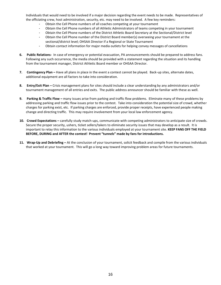Individuals that would need to be involved if a major decision regarding the event needs to be made. Representatives of the officiating crew, host administration, security, etc. may need to be involved. A few key reminders:

- Obtain the Cell Phone numbers of all coaches competing at your tournament
- Obtain the Cell Phone numbers of all Athletic Administrators of teams competing in your tournament
- Obtain the Cell Phone numbers of the District Athletic Board Secretary at the Sectional/District level
- Obtain the Cell Phone number of the District Board member(s) overseeing your tournament at the sectional/district level; OHSAA Director if a Regional or State Tournament
- Obtain contact information for major media outlets for helping convey messages of cancellations
- **6. Public Relations-** In case of emergency or potential evacuation, PA announcements should be prepared to address fans. Following any such occurrence, the media should be provided with a statement regarding the situation and its handling from the tournament manager, District Athletic Board member or OHSAA Director.
- **7. Contingency Plan –** Have all plans in place in the event a contest cannot be played. Back-up sites, alternate dates, additional equipment are all factors to take into consideration.
- **8. Entry/Exit Plan –** Crisis management plans for sites should include a clear understanding by any administrators and/or tournament management of all entries and exits. The public address announcer should be familiar with these as well.
- **9. Parking & Traffic Flow –** many issues arise from parking and traffic flow problems. Eliminate many of these problems by addressing parking and traffic flow issues prior to the contest. Take into consideration the potential size of crowd, whether charges for parking exist, etc. If parking charges are enforced, provide proper receipts, have experienced people making change and directing traffic. This may require involvement from your local law enforcement agency.
- **10. Crowd Expectations –** carefully study match-ups, communicate with competing administrators to anticipate size of crowds. Secure the proper security, ushers, ticket sellers/takers to eliminate security issues that may develop as a result. It is important to relay this information to the various individuals employed at your tournament site. **KEEP FANS OFF THE FIELD BEFORE, DURING and AFTER the contest! Prevent "tunnels" made by fans for introductions.**
- **11. Wrap-Up and Debriefing –** At the conclusion of your tournament, solicit feedback and compile from the various individuals that worked at your tournament. This will go a long way toward improving problem areas for future tournaments.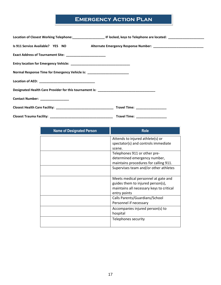# **EMERGENCY ACTION PLAN**

|                                                                                         | Is 911 Service Available? YES NO Alternate Emergency Response Number: _____________________________ |
|-----------------------------------------------------------------------------------------|-----------------------------------------------------------------------------------------------------|
| Exact Address of Tournament Site: _________________________                             |                                                                                                     |
|                                                                                         |                                                                                                     |
| Normal Response Time for Emergency Vehicle is: _________________________                |                                                                                                     |
|                                                                                         |                                                                                                     |
| Designated Health Care Provider for this tournament is: _______________________________ |                                                                                                     |
| Contact Number: ________________                                                        |                                                                                                     |
|                                                                                         |                                                                                                     |
|                                                                                         | Travel Time: ___________________                                                                    |

| <b>Name of Designated Person</b> | <b>Role</b>                                                                                                                          |
|----------------------------------|--------------------------------------------------------------------------------------------------------------------------------------|
|                                  | Attends to injured athlete(s) or<br>spectator(s) and controls immediate                                                              |
|                                  | scene.                                                                                                                               |
|                                  | Telephones 911 or other pre-                                                                                                         |
|                                  | determined emergency number,                                                                                                         |
|                                  | maintains procedures for calling 911.                                                                                                |
|                                  | Supervises team and/or other athletes                                                                                                |
|                                  | Meets medical personnel at gate and<br>guides them to injured person(s),<br>maintains all necessary keys to critical<br>entry points |
|                                  | Calls Parents/Guardians/School<br>Personnel if necessary                                                                             |
|                                  | Accompanies injured person(s) to<br>hospital                                                                                         |
|                                  | Telephones security                                                                                                                  |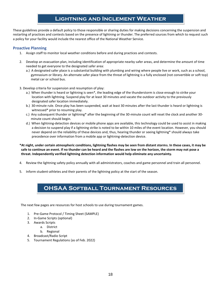# **Lightning and Inclement Weather**

These guidelines provide a default policy to those responsible or sharing duties for making decisions concerning the suspension and restarting of practices and contests based on the presence of lightning or thunder. The preferred sources from which to request such a policy for your facility would include the nearest office of the National Weather Service.

#### **Proactive Planning**

- 1. Assign staff to monitor local weather conditions before and during practices and contests.
- 2. Develop an evacuation plan, including identification of appropriate nearby safer areas, and determine the amount of time needed to get everyone to the designated safer area:
	- a.) A designated safer place is a substantial building with plumbing and wiring where people live or work, such as a school, gymnasium or library. An alternate safer place from the threat of lightning is a fully enclosed (not convertible or soft top) metal car or school bus.
- 3. Develop criteria for suspension and resumption of play:
	- a.) When thunder is heard or lightning is seen\*, the leading edge of the thunderstorm is close enough to strike your location with lightning. Suspend play for at least 30 minutes and vacate the outdoor activity to the previously designated safer location immediately.
	- b.) 30-minute rule. Once play has been suspended, wait at least 30 minutes after the last thunder is heard or lightning is witnessed\* prior to resuming play.
	- c.) Any subsequent thunder or lightning\* after the beginning of the 30-minute count will reset the clock and another 30 minute count should begin.
	- d.) When lightning-detection devices or mobile phone apps are available, this technology could be used to assist in making a decision to suspend play if a lightning strike is noted to be within 10 miles of the event location. However, you should never depend on the reliability of these devices and, thus, hearing thunder or seeing lightning\* should always take precedence over information from a mobile app or lightning-detection device.

**\*At night, under certain atmospheric conditions, lightning flashes may be seen from distant storms. In these cases, it may be safe to continue an event. If no thunder can be heard and the flashes are low on the horizon, the storm may not pose a threat. Independently verified lightning detection information would help eliminate any uncertainty.** 

- 4. Review the lightning safety policy annually with all administrators, coaches and game personnel and train all personnel.
- 5. Inform student-athletes and their parents of the lightning policy at the start of the season.

# **OHSAA Softball Tournament Resources**

The next few pages are resources for host schools to use during tournament games.

- 1. Pre-Game Protocol / Timing Sheet (SAMPLE)
- 2. In-Game Scripts (optional)
- 3. Awards Scripts
	- a. District
	- b. Regional
- 4. Broadcast/Radio Script
- 5. Tournament Regulations (as of Feb. 2022)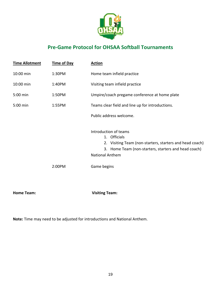

# **Pre-Game Protocol for OHSAA Softball Tournaments**

| <b>Time Allotment</b> | <b>Time of Day</b> | <b>Action</b>                                                                                                                                                                                         |
|-----------------------|--------------------|-------------------------------------------------------------------------------------------------------------------------------------------------------------------------------------------------------|
| 10:00 min             | 1:30PM             | Home team infield practice                                                                                                                                                                            |
| 10:00 min             | 1:40PM             | Visiting team infield practice                                                                                                                                                                        |
| 5:00 min              | 1:50PM             | Umpire/coach pregame conference at home plate                                                                                                                                                         |
| 5:00 min              | 1:55PM             | Teams clear field and line up for introductions.                                                                                                                                                      |
|                       |                    | Public address welcome.                                                                                                                                                                               |
|                       | 2:00PM             | Introduction of teams<br>1. Officials<br>2. Visiting Team (non-starters, starters and head coach)<br>Home Team (non-starters, starters and head coach)<br>3.<br><b>National Anthem</b><br>Game begins |
| <b>Home Team:</b>     |                    | <b>Visiting Team:</b>                                                                                                                                                                                 |
|                       |                    |                                                                                                                                                                                                       |

**Note:** Time may need to be adjusted for introductions and National Anthem.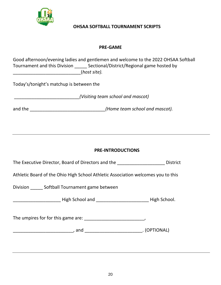

### **OHSAA SOFTBALL TOURNAMENT SCRIPTS**

### **PRE-GAME**

| Good afternoon/evening ladies and gentlemen and welcome to the 2022 OHSAA Softball<br>Tournament and this Division _______ Sectional/District/Regional game hosted by<br>________________________________(host site). |
|-----------------------------------------------------------------------------------------------------------------------------------------------------------------------------------------------------------------------|
| Today's/tonight's matchup is between the                                                                                                                                                                              |
|                                                                                                                                                                                                                       |
| and the _________________________________(Home team school and mascot).                                                                                                                                               |
|                                                                                                                                                                                                                       |
|                                                                                                                                                                                                                       |
| <b>PRE-INTRODUCTIONS</b>                                                                                                                                                                                              |
| The Executive Director, Board of Directors and the <b>California Contract Contract</b> District                                                                                                                       |
| Athletic Board of the Ohio High School Athletic Association welcomes you to this                                                                                                                                      |
| Division _______ Softball Tournament game between                                                                                                                                                                     |
| Later Light School and Later Light School.                                                                                                                                                                            |
|                                                                                                                                                                                                                       |
|                                                                                                                                                                                                                       |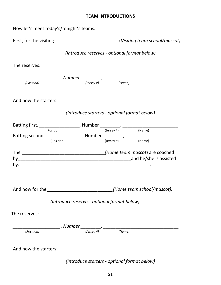### **TEAM INTRODUCTIONS**

Now let's meet today's/tonight's teams.

|                                                                                            |                                                                           | (Visiting team school/mascot).                                                               |
|--------------------------------------------------------------------------------------------|---------------------------------------------------------------------------|----------------------------------------------------------------------------------------------|
|                                                                                            | (Introduce reserves - optional format below)                              |                                                                                              |
| The reserves:                                                                              |                                                                           |                                                                                              |
|                                                                                            |                                                                           |                                                                                              |
| (Position)                                                                                 |                                                                           |                                                                                              |
| And now the starters:                                                                      |                                                                           |                                                                                              |
|                                                                                            | (Introduce starters - optional format below)                              |                                                                                              |
| Batting first, $\frac{1}{(Position)}$ , Number $\frac{1}{(Jersey\#)}$ , $\frac{1}{(Name)}$ |                                                                           |                                                                                              |
|                                                                                            |                                                                           |                                                                                              |
| (Position)                                                                                 |                                                                           | Batting second, $\frac{1}{(Position)}$ , Number $\frac{1}{(Jersey \#)}$ , $\frac{1}{(Name)}$ |
|                                                                                            |                                                                           |                                                                                              |
|                                                                                            |                                                                           |                                                                                              |
|                                                                                            |                                                                           |                                                                                              |
| And now for the ___________________________(Home team school/mascot).                      |                                                                           |                                                                                              |
|                                                                                            | (Introduce reserves- optional format below)                               |                                                                                              |
| The reserves:                                                                              |                                                                           |                                                                                              |
|                                                                                            |                                                                           |                                                                                              |
| (Position)                                                                                 | $\sim$ , Number $\frac{1}{\sqrt{(Jersey\#)}}$ , $\frac{1}{\sqrt{(Name)}}$ |                                                                                              |
| And now the starters:                                                                      |                                                                           |                                                                                              |

*(Introduce starters - optional format below)*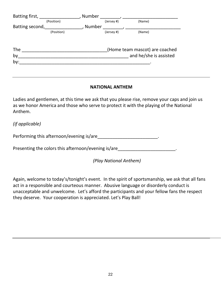| Batting first,  | Number                         |  |
|-----------------|--------------------------------|--|
| (Position)      | (Name)<br>(Jersey #)           |  |
| Batting second, | Number                         |  |
| (Position)      | (Name)<br>(Jersey #)           |  |
| <b>The</b>      | (Home team mascot) are coached |  |
| by              | and he/she is assisted         |  |
| by:             |                                |  |
|                 |                                |  |

### **NATIONAL ANTHEM**

Ladies and gentlemen, at this time we ask that you please rise, remove your caps and join us as we honor America and those who serve to protect it with the playing of the National Anthem.

*(if applicable)*

Performing this afternoon/evening is/are\_\_\_\_\_\_\_\_\_\_\_\_\_\_\_\_\_\_\_\_\_\_\_\_\_\_.

Presenting the colors this afternoon/evening is/are

*(Play National Anthem)*

Again, welcome to today's/tonight's event. In the spirit of sportsmanship, we ask that all fans act in a responsible and courteous manner. Abusive language or disorderly conduct is unacceptable and unwelcome. Let's afford the participants and your fellow fans the respect they deserve. Your cooperation is appreciated. Let's Play Ball!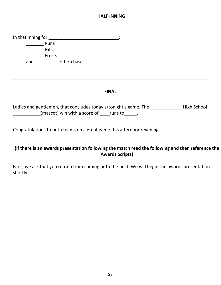### **HALF INNING**

In that inning for \_\_\_\_\_\_\_\_\_\_\_\_\_\_\_\_\_\_\_\_\_\_\_\_\_\_\_\_\_\_\_\_\_: \_\_\_\_\_\_\_ Runs \_\_\_\_\_\_\_ Hits: \_\_\_\_\_\_\_ Errors: and left on base.

### **FINAL**

Ladies and gentlemen, that concludes today's/tonight's game. The \_\_\_\_\_\_\_\_\_\_\_\_\_\_High School  $(mascot)$  win with a score of  $\Box$  runs to  $\Box$ .

Congratulations to both teams on a great game this afternoon/evening.

### **(If there is an awards presentation following the match read the following and then reference the Awards Scripts)**

Fans, we ask that you refrain from coming onto the field. We will begin the awards presentation shortly.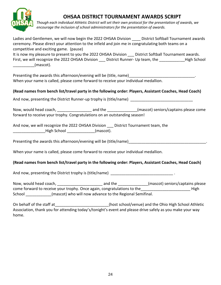

# **OHSAA DISTRICT TOURNAMENT AWARDS SCRIPT**

*Though each individual Athletic District will set their own protocol for the presentation of awards, we encourage the inclusion of school administrators for the presentation of awards.*

Ladies and Gentlemen, we will now begin the 2022 OHSAA Division **District Softball Tournament awards** ceremony. Please direct your attention to the infield and join me in congratulating both teams on a competitive and exciting game. (pause)

It is now my pleasure to present to you the 2022 OHSAA Division District Softball Tournament awards. First, we will recognize the 2022 OHSAA Division Listrict Runner- Up team, the Thigh School  $(mascot).$ 

Presenting the awards this afternoon/evening will be (title, name) When your name is called, please come forward to receive your individual medallion.

#### **(Read names from bench list/travel party in the following order: Players, Assistant Coaches, Head Coach)**

And now, presenting the District Runner-up trophy is (title/name)

Now, would head coach, \_\_\_\_\_\_\_\_\_\_\_\_\_\_\_\_\_\_\_\_\_\_ and the \_\_\_\_\_\_\_\_\_\_\_\_\_\_\_(mascot) seniors/captains please come forward to receive your trophy. Congratulations on an outstanding season!

And now, we will recognize the 2022 OHSAA Division \_\_\_ District Tournament team, the High School **Example 20** (mascot).

Presenting the awards this afternoon/evening will be (title/name) will are research and the control of the control

When your name is called, please come forward to receive your individual medallion.

#### **(Read names from bench list/travel party in the following order: Players, Assistant Coaches, Head Coach)**

And now, presenting the District trophy is (title/name) and now, presenting the District trophy is (title/name)

Now, would head coach, \_\_\_\_\_\_\_\_\_\_\_\_\_\_\_\_\_\_\_\_\_ and the \_\_\_\_\_\_\_\_\_\_\_\_\_\_(mascot) seniors/captains please come forward to receive your trophy. Once again, congratulations to the entity and the state of High School **Exercice (mascot)** who will now advance to the Regional Semifinal.

On behalf of the staff at  $($ host school/venue) and the Ohio High School Athletic Association, thank you for attending today's/tonight's event and please drive safely as you make your way home.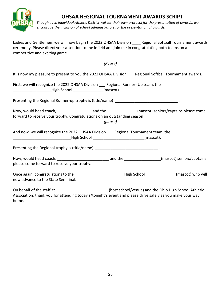

home.

# **OHSAA REGIONAL TOURNAMENT AWARDS SCRIPT**

*Though each individual Athletic District will set their own protocol for the presentation of awards, we encourage the inclusion of school administrators for the presentation of awards.* 

Ladies and Gentlemen, we will now begin the 2022 OHSAA Division \_\_\_\_ Regional Softball Tournament awards ceremony. Please direct your attention to the infield and join me in congratulating both teams on a competitive and exciting game.

|                                                                                                                                                                                                                    | (Pause) |  |
|--------------------------------------------------------------------------------------------------------------------------------------------------------------------------------------------------------------------|---------|--|
| It is now my pleasure to present to you the 2022 OHSAA Division __ Regional Softball Tournament awards.                                                                                                            |         |  |
| First, we will recognize the 2022 OHSAA Division ___ Regional Runner- Up team, the<br>Migh School (mascot).                                                                                                        |         |  |
| Presenting the Regional Runner-up trophy is (title/name) __________________________________.                                                                                                                       |         |  |
| Now, would head coach, _________________________ and the ________________(mascot) seniors/captains please come<br>forward to receive your trophy. Congratulations on an outstanding season!                        | (pause) |  |
| And now, we will recognize the 2022 OHSAA Division ___ Regional Tournament team, the                                                                                                                               |         |  |
| Presenting the Regional trophy is (title/name) _________________________________.                                                                                                                                  |         |  |
| please come forward to receive your trophy.                                                                                                                                                                        |         |  |
| Once again, congratulations to the _________________________________High School ______________(mascot) who will<br>now advance to the State Semifinal.                                                             |         |  |
| On behalf of the staff at ______________________(host school/venue) and the Ohio High School Athletic<br>Association, thank you for attending today's/tonight's event and please drive safely as you make your way |         |  |